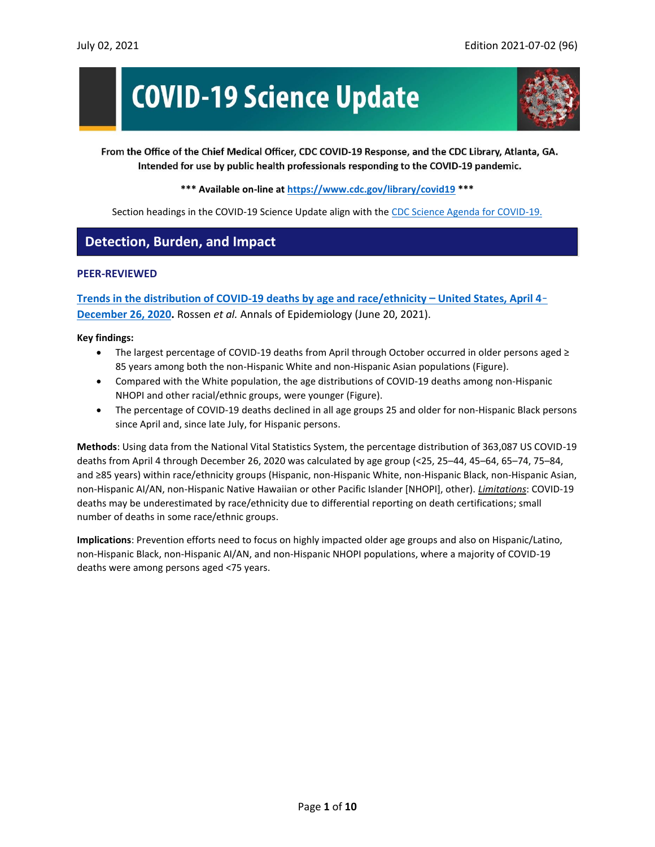# **COVID-19 Science Update**



From the Office of the Chief Medical Officer, CDC COVID-19 Response, and the CDC Library, Atlanta, GA. Intended for use by public health professionals responding to the COVID-19 pandemic.

#### **\*\*\* Available on-line at<https://www.cdc.gov/library/covid19> \*\*\***

Section headings in the COVID-19 Science Update align with the [CDC Science Agenda for COVID-19.](https://www.cdc.gov/coronavirus/2019-ncov/more/science-agenda-covid19.html)

## **Detection, Burden, and Impact**

#### **PEER-REVIEWED**

**[Trends in the distribution of COVID-19 deaths by age and race/ethnicity](https://www.sciencedirect.com/science/article/pii/S104727972100154X?via%3Dihub)** — **United States, April 4**[–](https://www.sciencedirect.com/science/article/pii/S104727972100154X?via%3Dihub) **[December 26, 2020.](https://www.sciencedirect.com/science/article/pii/S104727972100154X?via%3Dihub)** Rossen *et al.* Annals of Epidemiology (June 20, 2021).

#### **Key findings:**

- The largest percentage of COVID-19 deaths from April through October occurred in older persons aged ≥ 85 years among both the non-Hispanic White and non-Hispanic Asian populations (Figure).
- Compared with the White population, the age distributions of COVID-19 deaths among non-Hispanic NHOPI and other racial/ethnic groups, were younger (Figure).
- The percentage of COVID-19 deaths declined in all age groups 25 and older for non-Hispanic Black persons since April and, since late July, for Hispanic persons.

**Methods**: Using data from the National Vital Statistics System, the percentage distribution of 363,087 US COVID-19 deaths from April 4 through December 26, 2020 was calculated by age group (<25, 25–44, 45–64, 65–74, 75–84, and ≥85 years) within race/ethnicity groups (Hispanic, non-Hispanic White, non-Hispanic Black, non-Hispanic Asian, non-Hispanic AI/AN, non-Hispanic Native Hawaiian or other Pacific Islander [NHOPI], other). *Limitations*: COVID-19 deaths may be underestimated by race/ethnicity due to differential reporting on death certifications; small number of deaths in some race/ethnic groups.

**Implications**: Prevention efforts need to focus on highly impacted older age groups and also on Hispanic/Latino, non-Hispanic Black, non-Hispanic AI/AN, and non-Hispanic NHOPI populations, where a majority of COVID-19 deaths were among persons aged <75 years.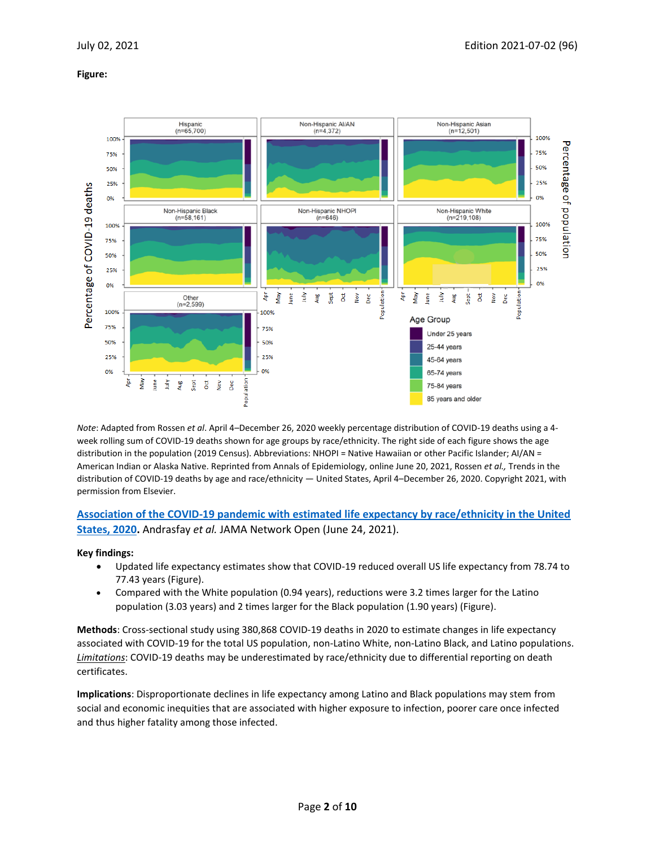#### **Figure:**



*Note*: Adapted from Rossen *et al*. April 4–December 26, 2020 weekly percentage distribution of COVID-19 deaths using a 4 week rolling sum of COVID-19 deaths shown for age groups by race/ethnicity. The right side of each figure shows the age distribution in the population (2019 Census). Abbreviations: NHOPI = Native Hawaiian or other Pacific Islander; AI/AN = American Indian or Alaska Native. Reprinted from Annals of Epidemiology, online June 20, 2021, Rossen *et al.,* Trends in the distribution of COVID-19 deaths by age and race/ethnicity — United States, April 4–December 26, 2020. Copyright 2021, with permission from Elsevier.

### **[Association of the COVID-19 pandemic with estimated life expectancy by race/ethnicity in the United](https://jamanetwork.com/journals/jamanetworkopen/fullarticle/2781320?resultClick=1)  [States, 2020.](https://jamanetwork.com/journals/jamanetworkopen/fullarticle/2781320?resultClick=1)** Andrasfay *et al.* JAMA Network Open (June 24, 2021).

#### **Key findings:**

- Updated life expectancy estimates show that COVID-19 reduced overall US life expectancy from 78.74 to 77.43 years (Figure).
- Compared with the White population (0.94 years), reductions were 3.2 times larger for the Latino population (3.03 years) and 2 times larger for the Black population (1.90 years) (Figure).

**Methods**: Cross-sectional study using 380,868 COVID-19 deaths in 2020 to estimate changes in life expectancy associated with COVID-19 for the total US population, non-Latino White, non-Latino Black, and Latino populations. *Limitations*: COVID-19 deaths may be underestimated by race/ethnicity due to differential reporting on death certificates.

**Implications**: Disproportionate declines in life expectancy among Latino and Black populations may stem from social and economic inequities that are associated with higher exposure to infection, poorer care once infected and thus higher fatality among those infected.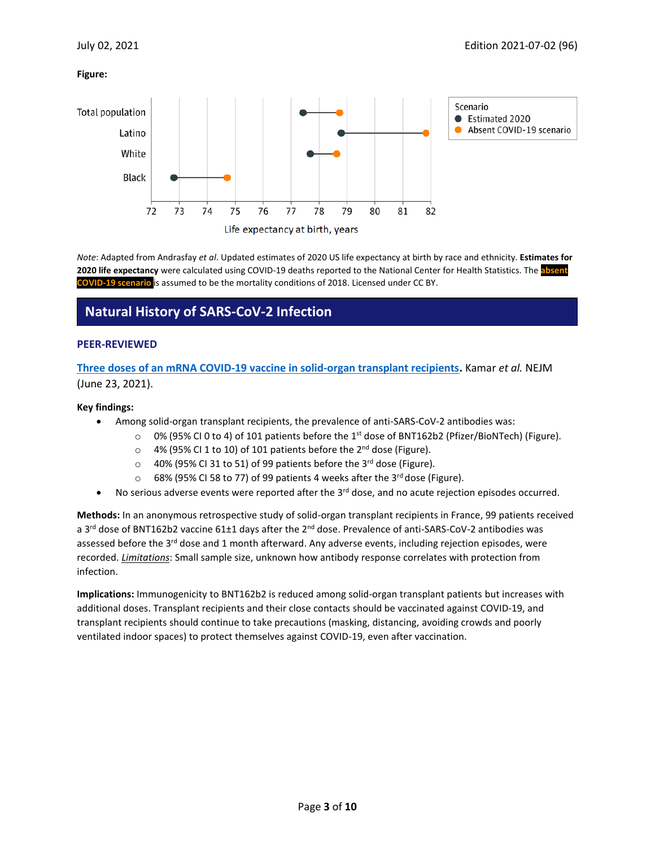#### **Figure:**



*Note*: Adapted from Andrasfay *et al*. Updated estimates of 2020 US life expectancy at birth by race and ethnicity. **Estimates for** 2020 life expectancy were calculated using COVID-19 deaths reported to the National Center for Health Statistics. The absent **COVID-19 scenario** is assumed to be the mortality conditions of 2018. Licensed under CC BY.

## **Natural History of SARS-CoV-2 Infection**

#### **PEER-REVIEWED**

**[Three doses of an mRNA COVID-19 vaccine in solid-organ transplant recipients.](https://www.nejm.org/doi/full/10.1056/NEJMc2108861?query=featured_home)** Kamar *et al.* NEJM (June 23, 2021).

#### **Key findings:**

- Among solid-organ transplant recipients, the prevalence of anti-SARS-CoV-2 antibodies was:
	- $\circ$  0% (95% CI 0 to 4) of 101 patients before the 1<sup>st</sup> dose of BNT162b2 (Pfizer/BioNTech) (Figure).
		- $\circ$  4% (95% CI 1 to 10) of 101 patients before the 2<sup>nd</sup> dose (Figure).
		- o 40% (95% CI 31 to 51) of 99 patients before the 3rd dose (Figure).
		- 68% (95% CI 58 to 77) of 99 patients 4 weeks after the 3<sup>rd</sup> dose (Figure).
- $\bullet$  No serious adverse events were reported after the 3<sup>rd</sup> dose, and no acute rejection episodes occurred.

**Methods:** In an anonymous retrospective study of solid-organ transplant recipients in France, 99 patients received a 3<sup>rd</sup> dose of BNT162b2 vaccine 61±1 days after the 2<sup>nd</sup> dose. Prevalence of anti-SARS-CoV-2 antibodies was assessed before the 3<sup>rd</sup> dose and 1 month afterward. Any adverse events, including rejection episodes, were recorded. *Limitations*: Small sample size, unknown how antibody response correlates with protection from infection.

**Implications:** Immunogenicity to BNT162b2 is reduced among solid-organ transplant patients but increases with additional doses. Transplant recipients and their close contacts should be vaccinated against COVID-19, and transplant recipients should continue to take precautions (masking, distancing, avoiding crowds and poorly ventilated indoor spaces) to protect themselves against COVID-19, even after vaccination.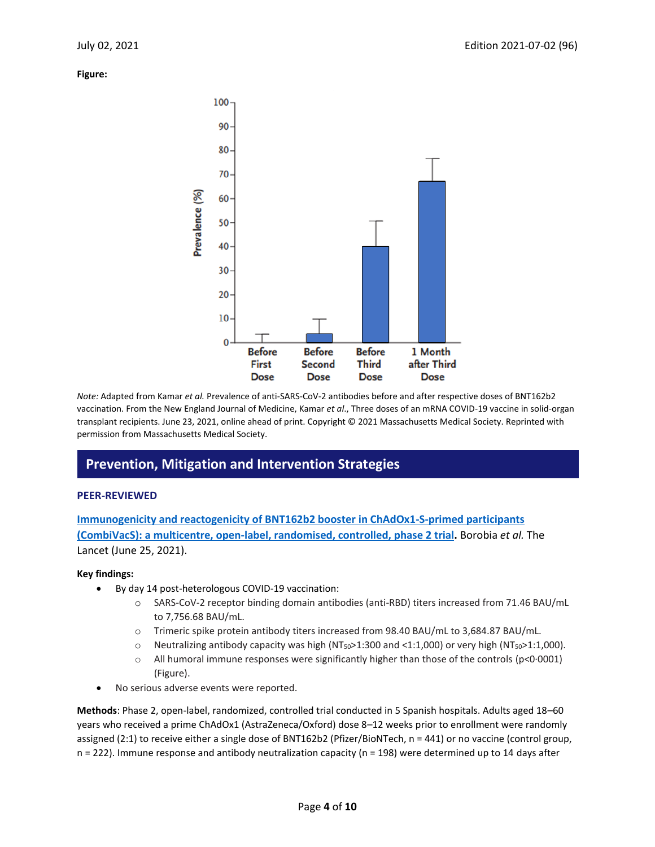**Figure:** 



*Note:* Adapted from Kamar *et al.* Prevalence of anti-SARS-CoV-2 antibodies before and after respective doses of BNT162b2 vaccination. From the New England Journal of Medicine, Kamar *et al*., Three doses of an mRNA COVID-19 vaccine in solid-organ transplant recipients. June 23, 2021, online ahead of print. Copyright © 2021 Massachusetts Medical Society. Reprinted with permission from Massachusetts Medical Society.

## **Prevention, Mitigation and Intervention Strategies**

#### **PEER-REVIEWED**

**[Immunogenicity and reactogenicity of BNT162b2 booster in ChAdOx1-S-primed participants](https://www.thelancet.com/journals/lancet/article/PIIS0140-6736(21)01420-3/fulltext)  [\(CombiVacS\): a multicentre, open-label, randomised, controlled, phase 2 trial.](https://www.thelancet.com/journals/lancet/article/PIIS0140-6736(21)01420-3/fulltext)** Borobia *et al.* The Lancet (June 25, 2021).

#### **Key findings:**

- By day 14 post-heterologous COVID-19 vaccination:
	- o SARS-CoV-2 receptor binding domain antibodies (anti-RBD) titers increased from 71.46 BAU/mL to 7,756.68 BAU/mL.
	- o Trimeric spike protein antibody titers increased from 98.40 BAU/mL to 3,684.87 BAU/mL.
	- $\circ$  Neutralizing antibody capacity was high (NT<sub>50</sub>>1:300 and <1:1,000) or very high (NT<sub>50</sub>>1:1,000).
	- $\circ$  All humoral immune responses were significantly higher than those of the controls (p<0.0001) (Figure).
- No serious adverse events were reported.

**Methods**: Phase 2, open-label, randomized, controlled trial conducted in 5 Spanish hospitals. Adults aged 18–60 years who received a prime ChAdOx1 (AstraZeneca/Oxford) dose 8–12 weeks prior to enrollment were randomly assigned (2:1) to receive either a single dose of BNT162b2 (Pfizer/BioNTech, n = 441) or no vaccine (control group, n = 222). Immune response and antibody neutralization capacity (n = 198) were determined up to 14 days after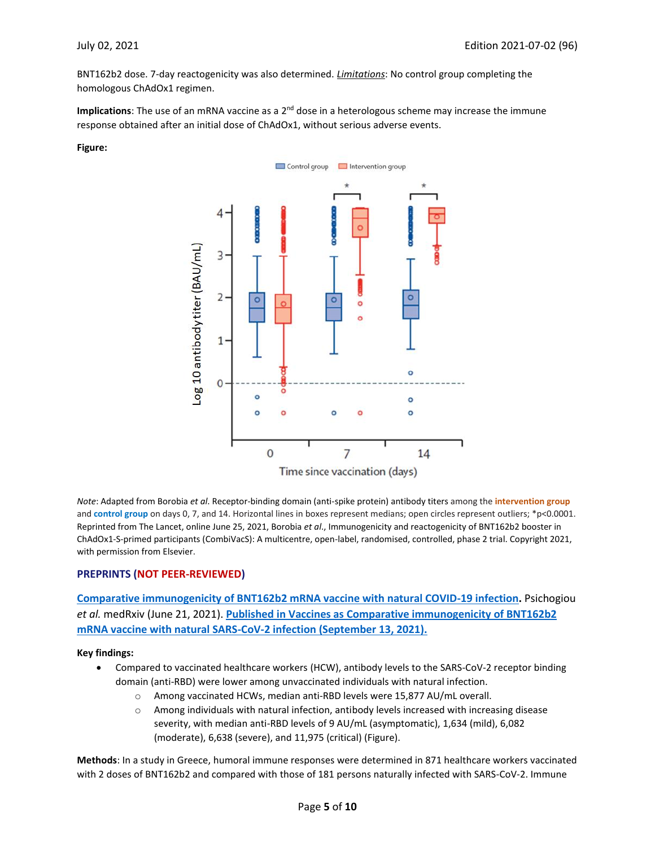BNT162b2 dose. 7-day reactogenicity was also determined. *Limitations*: No control group completing the homologous ChAdOx1 regimen.

Implications: The use of an mRNA vaccine as a 2<sup>nd</sup> dose in a heterologous scheme may increase the immune response obtained after an initial dose of ChAdOx1, without serious adverse events.

#### **Figure:**



*Note*: Adapted from Borobia *et al*. Receptor-binding domain (anti-spike protein) antibody titers among the **intervention group** and **control group** on days 0, 7, and 14. Horizontal lines in boxes represent medians; open circles represent outliers; \*p<0.0001. Reprinted from The Lancet, online June 25, 2021, Borobia *et al*., Immunogenicity and reactogenicity of BNT162b2 booster in ChAdOx1-S-primed participants (CombiVacS): A multicentre, open-label, randomised, controlled, phase 2 trial. Copyright 2021, with permission from Elsevier.

#### **PREPRINTS (NOT PEER-REVIEWED)**

**[Comparative immunogenicity of BNT162b2 mRNA vaccine with natural COVID-19 infection.](https://www.medrxiv.org/content/10.1101/2021.06.15.21258669v1)** Psichogiou *et al.* medRxiv (June 21, 2021). **[Published in Vaccines as Comparative immunogenicity of BNT162b2](https://doi.org/10.3390/vaccines9091017)  [mRNA vaccine with natural SARS-CoV-2 infection \(September 13, 2021\).](https://doi.org/10.3390/vaccines9091017)**

**Key findings:**

- Compared to vaccinated healthcare workers (HCW), antibody levels to the SARS-CoV-2 receptor binding domain (anti-RBD) were lower among unvaccinated individuals with natural infection.
	- o Among vaccinated HCWs, median anti-RBD levels were 15,877 AU/mL overall.
	- $\circ$  Among individuals with natural infection, antibody levels increased with increasing disease severity, with median anti-RBD levels of 9 AU/mL (asymptomatic), 1,634 (mild), 6,082 (moderate), 6,638 (severe), and 11,975 (critical) (Figure).

**Methods**: In a study in Greece, humoral immune responses were determined in 871 healthcare workers vaccinated with 2 doses of BNT162b2 and compared with those of 181 persons naturally infected with SARS-CoV-2. Immune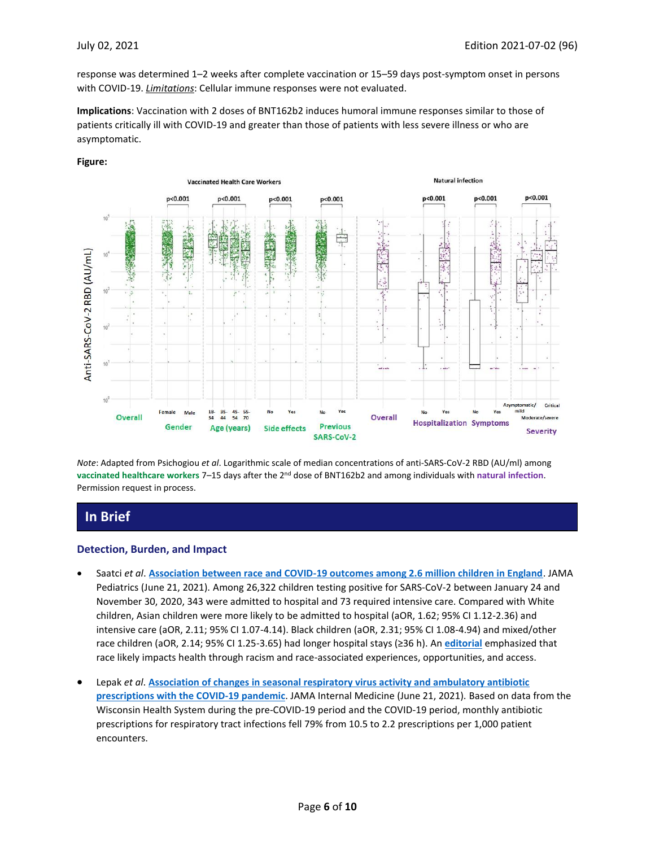response was determined 1–2 weeks after complete vaccination or 15–59 days post-symptom onset in persons with COVID-19. *Limitations*: Cellular immune responses were not evaluated.

**Implications**: Vaccination with 2 doses of BNT162b2 induces humoral immune responses similar to those of patients critically ill with COVID-19 and greater than those of patients with less severe illness or who are asymptomatic.



#### **Figure:**

*Note*: Adapted from Psichogiou *et al*. Logarithmic scale of median concentrations of anti-SARS-CoV-2 RBD (AU/ml) among **vaccinated healthcare workers** 7–15 days after the 2nd dose of BNT162b2 and among individuals with **natural infection**. Permission request in process.

## **In Brief**

#### **Detection, Burden, and Impact**

- Saatci *et al*. **[Association between race and COVID-19 outcomes among 2.6 million children in England](https://jamanetwork.com/journals/jamapediatrics/fullarticle/2780966?resultClick=1)**. JAMA Pediatrics (June 21, 2021). Among 26,322 children testing positive for SARS-CoV-2 between January 24 and November 30, 2020, 343 were admitted to hospital and 73 required intensive care. Compared with White children, Asian children were more likely to be admitted to hospital (aOR, 1.62; 95% CI 1.12-2.36) and intensive care (aOR, 2.11; 95% CI 1.07-4.14). Black children (aOR, 2.31; 95% CI 1.08-4.94) and mixed/other race children (aOR, 2.14; 95% CI 1.25-3.65) had longer hospital stays (≥36 h). An **[editorial](https://jamanetwork.com/journals/jamapediatrics/fullarticle/2780971?resultClick=1)** emphasized that race likely impacts health through racism and race-associated experiences, opportunities, and access.
- Lepak *et al*. **[Association of changes in seasonal respiratory virus activity and ambulatory antibiotic](https://jamanetwork.com/journals/jamainternalmedicine/fullarticle/2781312?resultClick=1)  [prescriptions with the COVID-19 pandemic](https://jamanetwork.com/journals/jamainternalmedicine/fullarticle/2781312?resultClick=1)**. JAMA Internal Medicine (June 21, 2021). Based on data from the Wisconsin Health System during the pre-COVID-19 period and the COVID-19 period, monthly antibiotic prescriptions for respiratory tract infections fell 79% from 10.5 to 2.2 prescriptions per 1,000 patient encounters.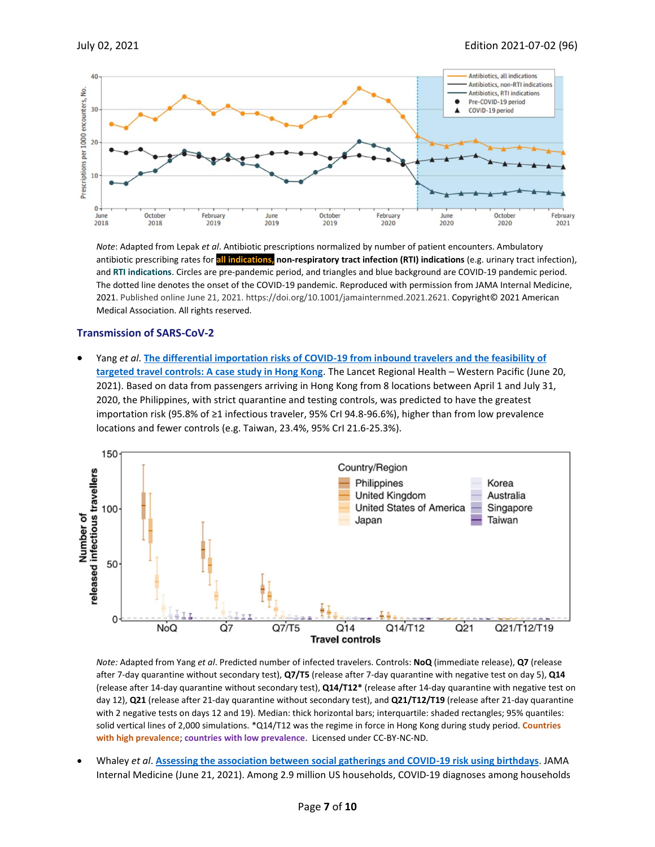

*Note*: Adapted from Lepak *et al*. Antibiotic prescriptions normalized by number of patient encounters. Ambulatory antibiotic prescribing rates for **all indications, non-respiratory tract infection (RTI) indications** (e.g. urinary tract infection), and **RTI indications**. Circles are pre-pandemic period, and triangles and blue background are COVID-19 pandemic period. The dotted line denotes the onset of the COVID-19 pandemic. Reproduced with permission from JAMA Internal Medicine, 2021. Published online June 21, 2021. https://doi.org/10.1001/jamainternmed.2021.2621. Copyright© 2021 American Medical Association. All rights reserved.

#### **Transmission of SARS-CoV-2**

• Yang *et al*. **[The differential importation risks of COVID-19 from inbound travelers and the feasibility of](https://www.thelancet.com/journals/lanwpc/article/PIIS2666-6065(21)00093-6/fulltext)  [targeted travel controls: A case study in Hong Kong](https://www.thelancet.com/journals/lanwpc/article/PIIS2666-6065(21)00093-6/fulltext)**. The Lancet Regional Health – Western Pacific (June 20, 2021). Based on data from passengers arriving in Hong Kong from 8 locations between April 1 and July 31, 2020, the Philippines, with strict quarantine and testing controls, was predicted to have the greatest importation risk (95.8% of ≥1 infectious traveler, 95% CrI 94.8-96.6%), higher than from low prevalence locations and fewer controls (e.g. Taiwan, 23.4%, 95% CrI 21.6-25.3%).



*Note:* Adapted from Yang *et al*. Predicted number of infected travelers. Controls: **NoQ** (immediate release), **Q7** (release after 7-day quarantine without secondary test), **Q7/T5** (release after 7-day quarantine with negative test on day 5), **Q14** (release after 14-day quarantine without secondary test), **Q14/T12\*** (release after 14-day quarantine with negative test on day 12), **Q21** (release after 21-day quarantine without secondary test), and **Q21/T12/T19** (release after 21-day quarantine with 2 negative tests on days 12 and 19). Median: thick horizontal bars; interquartile: shaded rectangles; 95% quantiles: solid vertical lines of 2,000 simulations. \*Q14/T12 was the regime in force in Hong Kong during study period. **Countries with high prevalence**; **countries with low prevalence**. Licensed under CC-BY-NC-ND.

• Whaley *et al*. **[Assessing the association between social gatherings and COVID-19 risk using birthdays](https://jamanetwork.com/journals/jamainternalmedicine/fullarticle/2781306?resultClick=1)**. JAMA Internal Medicine (June 21, 2021). Among 2.9 million US households, COVID-19 diagnoses among households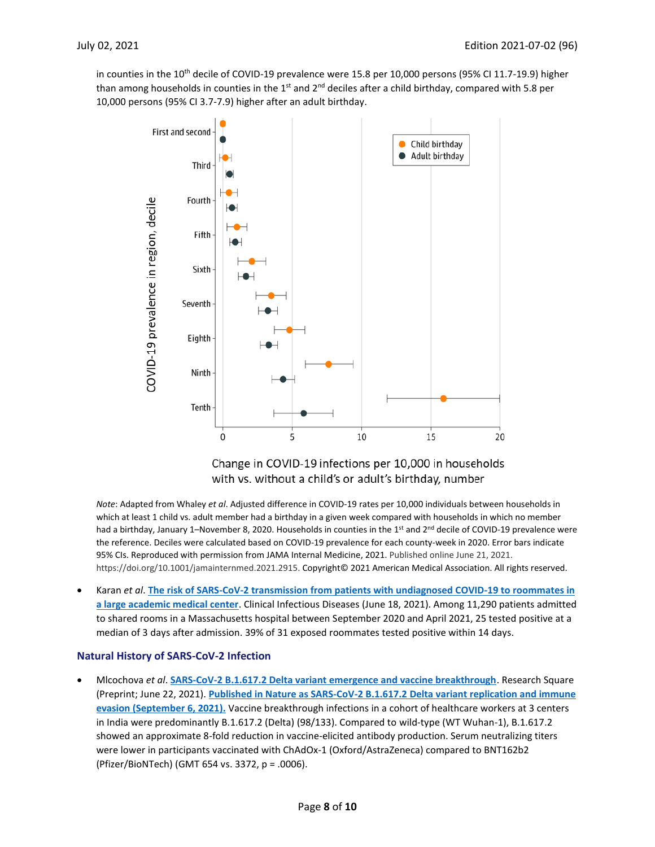in counties in the 10<sup>th</sup> decile of COVID-19 prevalence were 15.8 per 10,000 persons (95% CI 11.7-19.9) higher than among households in counties in the 1<sup>st</sup> and 2<sup>nd</sup> deciles after a child birthday, compared with 5.8 per 10,000 persons (95% CI 3.7-7.9) higher after an adult birthday.



Change in COVID-19 infections per 10,000 in households with vs. without a child's or adult's birthday, number

*Note*: Adapted from Whaley *et al*. Adjusted difference in COVID-19 rates per 10,000 individuals between households in which at least 1 child vs. adult member had a birthday in a given week compared with households in which no member had a birthday, January 1–November 8, 2020. Households in counties in the 1<sup>st</sup> and 2<sup>nd</sup> decile of COVID-19 prevalence were the reference. Deciles were calculated based on COVID-19 prevalence for each county-week in 2020. Error bars indicate 95% CIs. Reproduced with permission from JAMA Internal Medicine, 2021. Published online June 21, 2021. https://doi.org/10.1001/jamainternmed.2021.2915. Copyright© 2021 American Medical Association. All rights reserved.

• Karan *et al*. **[The risk of SARS-CoV-2 transmission from patients with undiagnosed COVID-19 to roommates in](https://academic.oup.com/cid/advance-article/doi/10.1093/cid/ciab564/6305137)  [a large academic medical center](https://academic.oup.com/cid/advance-article/doi/10.1093/cid/ciab564/6305137)**. Clinical Infectious Diseases (June 18, 2021). Among 11,290 patients admitted to shared rooms in a Massachusetts hospital between September 2020 and April 2021, 25 tested positive at a median of 3 days after admission. 39% of 31 exposed roommates tested positive within 14 days.

#### **Natural History of SARS-CoV-2 Infection**

• Mlcochova *et al*. **[SARS-CoV-2 B.1.617.2 Delta variant emergence and vaccine breakthrough](https://www.researchsquare.com/article/rs-637724/v1)**. Research Square (Preprint; June 22, 2021). **[Published in Nature as SARS-CoV-2 B.1.617.2 Delta variant replication and immune](https://www.nature.com/articles/s41586-021-03944-y)  [evasion \(September 6, 2021\).](https://www.nature.com/articles/s41586-021-03944-y)** Vaccine breakthrough infections in a cohort of healthcare workers at 3 centers in India were predominantly B.1.617.2 (Delta) (98/133). Compared to wild-type (WT Wuhan-1), B.1.617.2 showed an approximate 8-fold reduction in vaccine-elicited antibody production. Serum neutralizing titers were lower in participants vaccinated with ChAdOx-1 (Oxford/AstraZeneca) compared to BNT162b2 (Pfizer/BioNTech) (GMT 654 vs. 3372, p = .0006).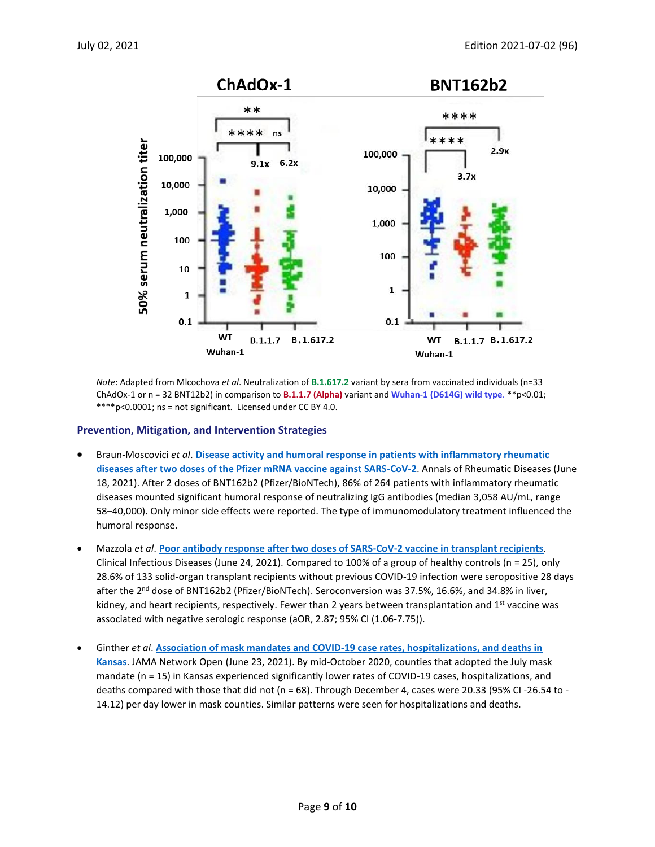

*Note*: Adapted from Mlcochova *et al*. Neutralization of **B.1.617.2** variant by sera from vaccinated individuals (n=33 ChAdOx-1 or n = 32 BNT12b2) in comparison to **B.1.1.7 (Alpha)** variant and **Wuhan-1 (D614G) wild type**. \*\*p<0.01; \*\*\*\*p<0.0001; ns = not significant. Licensed under CC BY 4.0.

#### **Prevention, Mitigation, and Intervention Strategies**

- Braun-Moscovici *et al*. **[Disease activity and humoral response in patients with inflammatory rheumatic](https://ard.bmj.com/content/early/2021/06/17/annrheumdis-2021-220503.citation-tools)  [diseases after two doses of the Pfizer mRNA vaccine against SARS-CoV-2](https://ard.bmj.com/content/early/2021/06/17/annrheumdis-2021-220503.citation-tools)**. Annals of Rheumatic Diseases (June 18, 2021). After 2 doses of BNT162b2 (Pfizer/BioNTech), 86% of 264 patients with inflammatory rheumatic diseases mounted significant humoral response of neutralizing IgG antibodies (median 3,058 AU/mL, range 58–40,000). Only minor side effects were reported. The type of immunomodulatory treatment influenced the humoral response.
- Mazzola *et al*. **[Poor antibody response after two doses of SARS-CoV-2 vaccine in transplant recipients](https://academic.oup.com/cid/advance-article/doi/10.1093/cid/ciab580/6309017?searchresult=1)**. Clinical Infectious Diseases (June 24, 2021). Compared to 100% of a group of healthy controls (n = 25), only 28.6% of 133 solid-organ transplant recipients without previous COVID-19 infection were seropositive 28 days after the 2<sup>nd</sup> dose of BNT162b2 (Pfizer/BioNTech). Seroconversion was 37.5%, 16.6%, and 34.8% in liver, kidney, and heart recipients, respectively. Fewer than 2 years between transplantation and 1<sup>st</sup> vaccine was associated with negative serologic response (aOR, 2.87; 95% CI (1.06-7.75)).
- Ginther *et al*. **[Association of mask mandates and COVID-19 case rates, hospitalizations, and deaths in](https://jamanetwork.com/journals/jamanetworkopen/fullarticle/2781283?resultClick=1)  [Kansas](https://jamanetwork.com/journals/jamanetworkopen/fullarticle/2781283?resultClick=1)**. JAMA Network Open (June 23, 2021). By mid-October 2020, counties that adopted the July mask mandate (n = 15) in Kansas experienced significantly lower rates of COVID-19 cases, hospitalizations, and deaths compared with those that did not (n = 68). Through December 4, cases were 20.33 (95% CI -26.54 to - 14.12) per day lower in mask counties. Similar patterns were seen for hospitalizations and deaths.